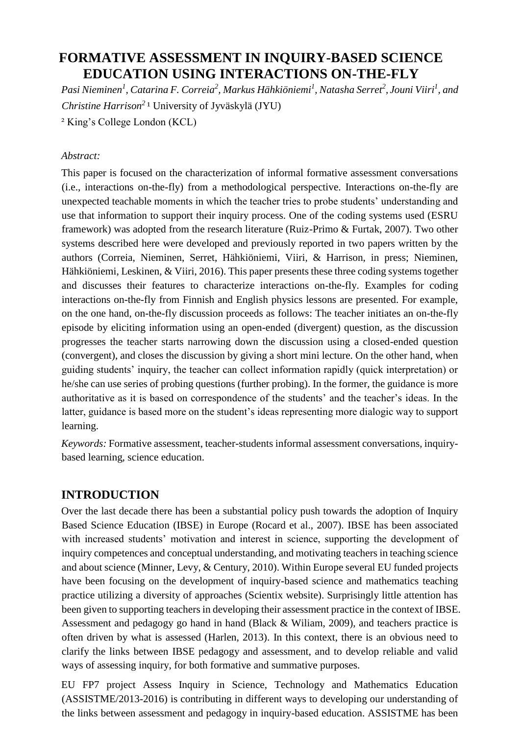# **FORMATIVE ASSESSMENT IN INQUIRY-BASED SCIENCE EDUCATION USING INTERACTIONS ON-THE-FLY**

*Pasi Nieminen<sup>1</sup> , Catarina F. Correia<sup>2</sup> , Markus Hähkiöniemi<sup>1</sup> , Natasha Serret<sup>2</sup> , Jouni Viiri<sup>1</sup> , and Christine Harrison<sup>2</sup>*¹ University of Jyväskylä (JYU)

² King's College London (KCL)

#### *Abstract:*

This paper is focused on the characterization of informal formative assessment conversations (i.e., interactions on-the-fly) from a methodological perspective. Interactions on-the-fly are unexpected teachable moments in which the teacher tries to probe students' understanding and use that information to support their inquiry process. One of the coding systems used (ESRU framework) was adopted from the research literature (Ruiz-Primo & Furtak, 2007). Two other systems described here were developed and previously reported in two papers written by the authors (Correia, Nieminen, Serret, Hähkiöniemi, Viiri, & Harrison, in press; Nieminen, Hähkiöniemi, Leskinen, & Viiri, 2016). This paper presents these three coding systems together and discusses their features to characterize interactions on-the-fly. Examples for coding interactions on-the-fly from Finnish and English physics lessons are presented. For example, on the one hand, on-the-fly discussion proceeds as follows: The teacher initiates an on-the-fly episode by eliciting information using an open-ended (divergent) question, as the discussion progresses the teacher starts narrowing down the discussion using a closed-ended question (convergent), and closes the discussion by giving a short mini lecture. On the other hand, when guiding students' inquiry, the teacher can collect information rapidly (quick interpretation) or he/she can use series of probing questions (further probing). In the former, the guidance is more authoritative as it is based on correspondence of the students' and the teacher's ideas. In the latter, guidance is based more on the student's ideas representing more dialogic way to support learning.

*Keywords:* Formative assessment, teacher-students informal assessment conversations, inquirybased learning, science education.

# **INTRODUCTION**

Over the last decade there has been a substantial policy push towards the adoption of Inquiry Based Science Education (IBSE) in Europe (Rocard et al., 2007). IBSE has been associated with increased students' motivation and interest in science, supporting the development of inquiry competences and conceptual understanding, and motivating teachers in teaching science and about science (Minner, Levy, & Century, 2010). Within Europe several EU funded projects have been focusing on the development of inquiry-based science and mathematics teaching practice utilizing a diversity of approaches (Scientix website). Surprisingly little attention has been given to supporting teachers in developing their assessment practice in the context of IBSE. Assessment and pedagogy go hand in hand (Black & Wiliam, 2009), and teachers practice is often driven by what is assessed (Harlen, 2013). In this context, there is an obvious need to clarify the links between IBSE pedagogy and assessment, and to develop reliable and valid ways of assessing inquiry, for both formative and summative purposes.

EU FP7 project Assess Inquiry in Science, Technology and Mathematics Education (ASSISTME/2013-2016) is contributing in different ways to developing our understanding of the links between assessment and pedagogy in inquiry-based education. ASSISTME has been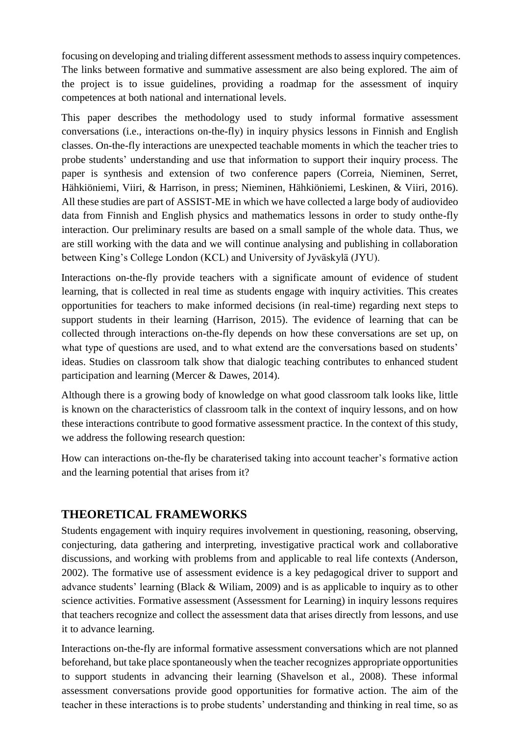focusing on developing and trialing different assessment methods to assess inquiry competences. The links between formative and summative assessment are also being explored. The aim of the project is to issue guidelines, providing a roadmap for the assessment of inquiry competences at both national and international levels.

This paper describes the methodology used to study informal formative assessment conversations (i.e., interactions on-the-fly) in inquiry physics lessons in Finnish and English classes. On-the-fly interactions are unexpected teachable moments in which the teacher tries to probe students' understanding and use that information to support their inquiry process. The paper is synthesis and extension of two conference papers (Correia, Nieminen, Serret, Hähkiöniemi, Viiri, & Harrison, in press; Nieminen, Hähkiöniemi, Leskinen, & Viiri, 2016). All these studies are part of ASSIST-ME in which we have collected a large body of audiovideo data from Finnish and English physics and mathematics lessons in order to study onthe-fly interaction. Our preliminary results are based on a small sample of the whole data. Thus, we are still working with the data and we will continue analysing and publishing in collaboration between King's College London (KCL) and University of Jyväskylä (JYU).

Interactions on-the-fly provide teachers with a significate amount of evidence of student learning, that is collected in real time as students engage with inquiry activities. This creates opportunities for teachers to make informed decisions (in real-time) regarding next steps to support students in their learning (Harrison, 2015). The evidence of learning that can be collected through interactions on-the-fly depends on how these conversations are set up, on what type of questions are used, and to what extend are the conversations based on students' ideas. Studies on classroom talk show that dialogic teaching contributes to enhanced student participation and learning (Mercer & Dawes, 2014).

Although there is a growing body of knowledge on what good classroom talk looks like, little is known on the characteristics of classroom talk in the context of inquiry lessons, and on how these interactions contribute to good formative assessment practice. In the context of this study, we address the following research question:

How can interactions on-the-fly be charaterised taking into account teacher's formative action and the learning potential that arises from it?

# **THEORETICAL FRAMEWORKS**

Students engagement with inquiry requires involvement in questioning, reasoning, observing, conjecturing, data gathering and interpreting, investigative practical work and collaborative discussions, and working with problems from and applicable to real life contexts (Anderson, 2002). The formative use of assessment evidence is a key pedagogical driver to support and advance students' learning (Black & Wiliam, 2009) and is as applicable to inquiry as to other science activities. Formative assessment (Assessment for Learning) in inquiry lessons requires that teachers recognize and collect the assessment data that arises directly from lessons, and use it to advance learning.

Interactions on-the-fly are informal formative assessment conversations which are not planned beforehand, but take place spontaneously when the teacher recognizes appropriate opportunities to support students in advancing their learning (Shavelson et al., 2008). These informal assessment conversations provide good opportunities for formative action. The aim of the teacher in these interactions is to probe students' understanding and thinking in real time, so as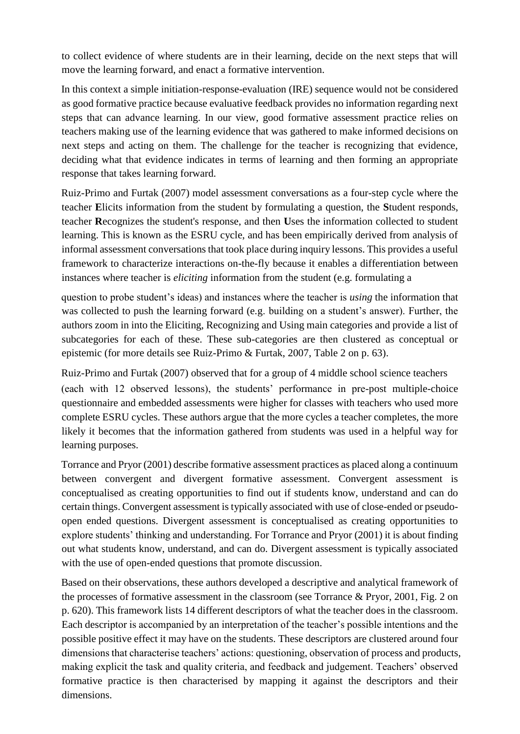to collect evidence of where students are in their learning, decide on the next steps that will move the learning forward, and enact a formative intervention.

In this context a simple initiation-response-evaluation (IRE) sequence would not be considered as good formative practice because evaluative feedback provides no information regarding next steps that can advance learning. In our view, good formative assessment practice relies on teachers making use of the learning evidence that was gathered to make informed decisions on next steps and acting on them. The challenge for the teacher is recognizing that evidence, deciding what that evidence indicates in terms of learning and then forming an appropriate response that takes learning forward.

Ruiz-Primo and Furtak (2007) model assessment conversations as a four-step cycle where the teacher **E**licits information from the student by formulating a question, the **S**tudent responds, teacher **R**ecognizes the student's response, and then **U**ses the information collected to student learning. This is known as the ESRU cycle, and has been empirically derived from analysis of informal assessment conversations that took place during inquiry lessons. This provides a useful framework to characterize interactions on-the-fly because it enables a differentiation between instances where teacher is *eliciting* information from the student (e.g. formulating a

question to probe student's ideas) and instances where the teacher is *using* the information that was collected to push the learning forward (e.g. building on a student's answer). Further, the authors zoom in into the Eliciting, Recognizing and Using main categories and provide a list of subcategories for each of these. These sub-categories are then clustered as conceptual or epistemic (for more details see Ruiz-Primo & Furtak, 2007, Table 2 on p. 63).

Ruiz-Primo and Furtak (2007) observed that for a group of 4 middle school science teachers (each with 12 observed lessons), the students' performance in pre-post multiple-choice questionnaire and embedded assessments were higher for classes with teachers who used more complete ESRU cycles. These authors argue that the more cycles a teacher completes, the more likely it becomes that the information gathered from students was used in a helpful way for learning purposes.

Torrance and Pryor (2001) describe formative assessment practices as placed along a continuum between convergent and divergent formative assessment. Convergent assessment is conceptualised as creating opportunities to find out if students know, understand and can do certain things. Convergent assessment is typically associated with use of close-ended or pseudoopen ended questions. Divergent assessment is conceptualised as creating opportunities to explore students' thinking and understanding. For Torrance and Pryor (2001) it is about finding out what students know, understand, and can do. Divergent assessment is typically associated with the use of open-ended questions that promote discussion.

Based on their observations, these authors developed a descriptive and analytical framework of the processes of formative assessment in the classroom (see Torrance & Pryor, 2001, Fig. 2 on p. 620). This framework lists 14 different descriptors of what the teacher does in the classroom. Each descriptor is accompanied by an interpretation of the teacher's possible intentions and the possible positive effect it may have on the students. These descriptors are clustered around four dimensions that characterise teachers' actions: questioning, observation of process and products, making explicit the task and quality criteria, and feedback and judgement. Teachers' observed formative practice is then characterised by mapping it against the descriptors and their dimensions.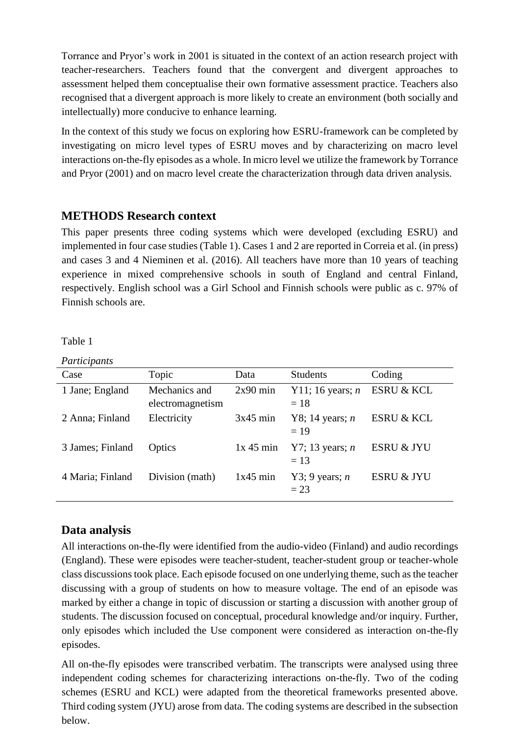Torrance and Pryor's work in 2001 is situated in the context of an action research project with teacher-researchers. Teachers found that the convergent and divergent approaches to assessment helped them conceptualise their own formative assessment practice. Teachers also recognised that a divergent approach is more likely to create an environment (both socially and intellectually) more conducive to enhance learning.

In the context of this study we focus on exploring how ESRU-framework can be completed by investigating on micro level types of ESRU moves and by characterizing on macro level interactions on-the-fly episodes as a whole. In micro level we utilize the framework by Torrance and Pryor (2001) and on macro level create the characterization through data driven analysis.

# **METHODS Research context**

This paper presents three coding systems which were developed (excluding ESRU) and implemented in four case studies (Table 1). Cases 1 and 2 are reported in Correia et al. (in press) and cases 3 and 4 Nieminen et al. (2016). All teachers have more than 10 years of teaching experience in mixed comprehensive schools in south of England and central Finland, respectively. English school was a Girl School and Finnish schools were public as c. 97% of Finnish schools are.

Table 1

*Participants* 

| Case             | Topic                             | Data        | <b>Students</b>             | Coding                |
|------------------|-----------------------------------|-------------|-----------------------------|-----------------------|
| 1 Jane; England  | Mechanics and<br>electromagnetism | $2x90$ min  | Y11; 16 years; $n$<br>$=18$ | <b>ESRU &amp; KCL</b> |
| 2 Anna; Finland  | Electricity                       | $3x45$ min  | Y8; 14 years; $n$<br>$=19$  | <b>ESRU &amp; KCL</b> |
| 3 James; Finland | Optics                            | $1x$ 45 min | Y7; 13 years; $n$<br>$= 13$ | ESRU & JYU            |
| 4 Maria; Finland | Division (math)                   | $1x45$ min  | Y3; 9 years; $n$<br>$= 23$  | <b>ESRU &amp; JYU</b> |

# **Data analysis**

All interactions on-the-fly were identified from the audio-video (Finland) and audio recordings (England). These were episodes were teacher-student, teacher-student group or teacher-whole class discussions took place. Each episode focused on one underlying theme, such as the teacher discussing with a group of students on how to measure voltage. The end of an episode was marked by either a change in topic of discussion or starting a discussion with another group of students. The discussion focused on conceptual, procedural knowledge and/or inquiry. Further, only episodes which included the Use component were considered as interaction on-the-fly episodes.

All on-the-fly episodes were transcribed verbatim. The transcripts were analysed using three independent coding schemes for characterizing interactions on-the-fly. Two of the coding schemes (ESRU and KCL) were adapted from the theoretical frameworks presented above. Third coding system (JYU) arose from data. The coding systems are described in the subsection below.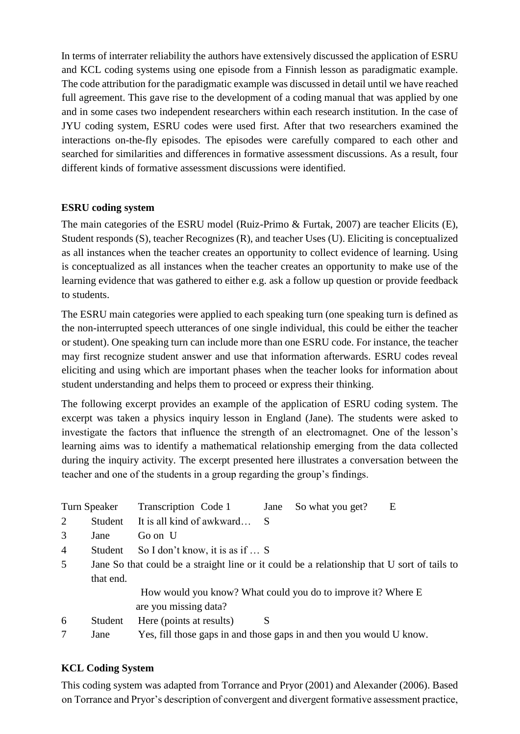In terms of interrater reliability the authors have extensively discussed the application of ESRU and KCL coding systems using one episode from a Finnish lesson as paradigmatic example. The code attribution for the paradigmatic example was discussed in detail until we have reached full agreement. This gave rise to the development of a coding manual that was applied by one and in some cases two independent researchers within each research institution. In the case of JYU coding system, ESRU codes were used first. After that two researchers examined the interactions on-the-fly episodes. The episodes were carefully compared to each other and searched for similarities and differences in formative assessment discussions. As a result, four different kinds of formative assessment discussions were identified.

### **ESRU coding system**

The main categories of the ESRU model (Ruiz-Primo & Furtak, 2007) are teacher Elicits (E), Student responds (S), teacher Recognizes (R), and teacher Uses (U). Eliciting is conceptualized as all instances when the teacher creates an opportunity to collect evidence of learning. Using is conceptualized as all instances when the teacher creates an opportunity to make use of the learning evidence that was gathered to either e.g. ask a follow up question or provide feedback to students.

The ESRU main categories were applied to each speaking turn (one speaking turn is defined as the non-interrupted speech utterances of one single individual, this could be either the teacher or student). One speaking turn can include more than one ESRU code. For instance, the teacher may first recognize student answer and use that information afterwards. ESRU codes reveal eliciting and using which are important phases when the teacher looks for information about student understanding and helps them to proceed or express their thinking.

The following excerpt provides an example of the application of ESRU coding system. The excerpt was taken a physics inquiry lesson in England (Jane). The students were asked to investigate the factors that influence the strength of an electromagnet. One of the lesson's learning aims was to identify a mathematical relationship emerging from the data collected during the inquiry activity. The excerpt presented here illustrates a conversation between the teacher and one of the students in a group regarding the group's findings.

|   | Turn Speaker | Transcription Code 1                                                                        | Jane         | So what you get? | E |
|---|--------------|---------------------------------------------------------------------------------------------|--------------|------------------|---|
| 2 | Student      | It is all kind of awkward                                                                   | <sup>S</sup> |                  |   |
| 3 | Jane         | Go on U                                                                                     |              |                  |   |
| 4 | Student      | So I don't know, it is as if  S                                                             |              |                  |   |
| 5 |              | Jane So that could be a straight line or it could be a relationship that U sort of tails to |              |                  |   |
|   | that end.    |                                                                                             |              |                  |   |
|   |              | How would you know? What could you do to improve it? Where E<br>are you missing data?       |              |                  |   |
| 6 | Student      | Here (points at results)                                                                    | S            |                  |   |
|   | Jane         | Yes, fill those gaps in and those gaps in and then you would U know.                        |              |                  |   |

# **KCL Coding System**

This coding system was adapted from Torrance and Pryor (2001) and Alexander (2006). Based on Torrance and Pryor's description of convergent and divergent formative assessment practice,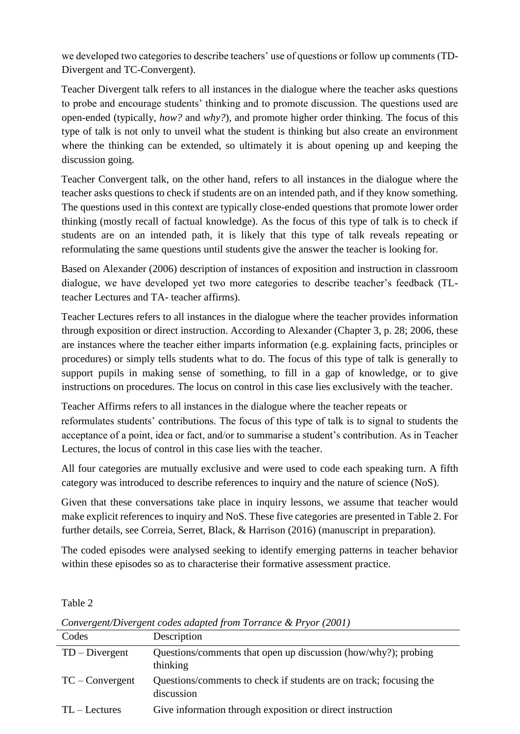we developed two categories to describe teachers' use of questions or follow up comments (TD-Divergent and TC-Convergent).

Teacher Divergent talk refers to all instances in the dialogue where the teacher asks questions to probe and encourage students' thinking and to promote discussion. The questions used are open-ended (typically, *how?* and *why?*), and promote higher order thinking. The focus of this type of talk is not only to unveil what the student is thinking but also create an environment where the thinking can be extended, so ultimately it is about opening up and keeping the discussion going.

Teacher Convergent talk, on the other hand, refers to all instances in the dialogue where the teacher asks questions to check if students are on an intended path, and if they know something. The questions used in this context are typically close-ended questions that promote lower order thinking (mostly recall of factual knowledge). As the focus of this type of talk is to check if students are on an intended path, it is likely that this type of talk reveals repeating or reformulating the same questions until students give the answer the teacher is looking for.

Based on Alexander (2006) description of instances of exposition and instruction in classroom dialogue, we have developed yet two more categories to describe teacher's feedback (TLteacher Lectures and TA- teacher affirms).

Teacher Lectures refers to all instances in the dialogue where the teacher provides information through exposition or direct instruction. According to Alexander (Chapter 3, p. 28; 2006, these are instances where the teacher either imparts information (e.g. explaining facts, principles or procedures) or simply tells students what to do. The focus of this type of talk is generally to support pupils in making sense of something, to fill in a gap of knowledge, or to give instructions on procedures. The locus on control in this case lies exclusively with the teacher.

Teacher Affirms refers to all instances in the dialogue where the teacher repeats or reformulates students' contributions. The focus of this type of talk is to signal to students the acceptance of a point, idea or fact, and/or to summarise a student's contribution. As in Teacher Lectures, the locus of control in this case lies with the teacher.

All four categories are mutually exclusive and were used to code each speaking turn. A fifth category was introduced to describe references to inquiry and the nature of science (NoS).

Given that these conversations take place in inquiry lessons, we assume that teacher would make explicit references to inquiry and NoS. These five categories are presented in Table 2. For further details, see Correia, Serret, Black, & Harrison (2016) (manuscript in preparation).

The coded episodes were analysed seeking to identify emerging patterns in teacher behavior within these episodes so as to characterise their formative assessment practice.

Table 2

| Convergent/Divergent codes duapted from Torrance & Fryor (2001) |                                                                                  |  |  |
|-----------------------------------------------------------------|----------------------------------------------------------------------------------|--|--|
| Codes                                                           | Description                                                                      |  |  |
| $TD - Divergent$                                                | Questions/comments that open up discussion (how/why?); probing<br>thinking       |  |  |
| $TC$ – Convergent                                               | Questions/comments to check if students are on track; focusing the<br>discussion |  |  |
| $TL - Lectures$                                                 | Give information through exposition or direct instruction                        |  |  |

*Convergent/Divergent codes adapted from Torrance & Pryor (2001)*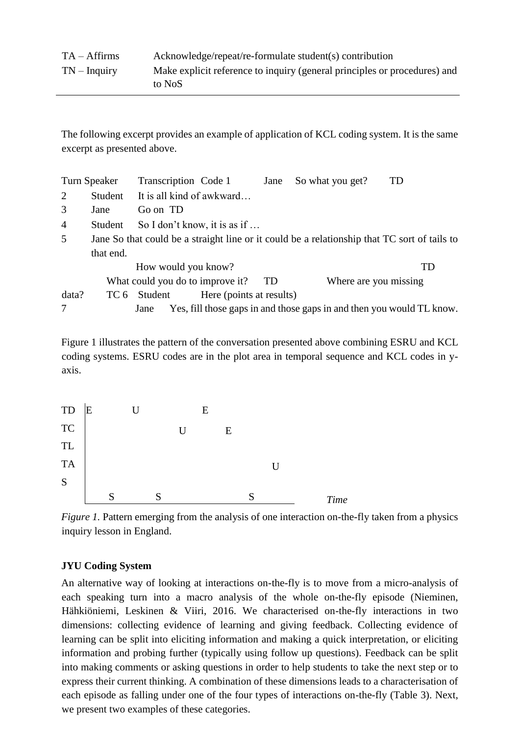The following excerpt provides an example of application of KCL coding system. It is the same excerpt as presented above.

|                | Turn Speaker                                                                                 | Transcription Code 1      |                              | Jane                  | So what you get?                                                      | TD |
|----------------|----------------------------------------------------------------------------------------------|---------------------------|------------------------------|-----------------------|-----------------------------------------------------------------------|----|
| $\overline{2}$ | Student                                                                                      | It is all kind of awkward |                              |                       |                                                                       |    |
| 3              | Jane                                                                                         | Go on TD                  |                              |                       |                                                                       |    |
| $\overline{4}$ | Student                                                                                      |                           | So I don't know, it is as if |                       |                                                                       |    |
| 5              | Jane So that could be a straight line or it could be a relationship that TC sort of tails to |                           |                              |                       |                                                                       |    |
|                | that end.                                                                                    |                           |                              |                       |                                                                       |    |
|                | How would you know?<br>What could you do to improve it?                                      |                           |                              |                       |                                                                       | TD |
|                |                                                                                              |                           | TD                           | Where are you missing |                                                                       |    |
| data?          |                                                                                              | TC 6 Student              | Here (points at results)     |                       |                                                                       |    |
| 7              |                                                                                              | Jane                      |                              |                       | Yes, fill those gaps in and those gaps in and then you would TL know. |    |

Figure 1 illustrates the pattern of the conversation presented above combining ESRU and KCL coding systems. ESRU codes are in the plot area in temporal sequence and KCL codes in yaxis.



*Figure 1.* Pattern emerging from the analysis of one interaction on-the-fly taken from a physics inquiry lesson in England.

#### **JYU Coding System**

An alternative way of looking at interactions on-the-fly is to move from a micro-analysis of each speaking turn into a macro analysis of the whole on-the-fly episode (Nieminen, Hähkiöniemi, Leskinen & Viiri, 2016. We characterised on-the-fly interactions in two dimensions: collecting evidence of learning and giving feedback. Collecting evidence of learning can be split into eliciting information and making a quick interpretation, or eliciting information and probing further (typically using follow up questions). Feedback can be split into making comments or asking questions in order to help students to take the next step or to express their current thinking. A combination of these dimensions leads to a characterisation of each episode as falling under one of the four types of interactions on-the-fly (Table 3). Next, we present two examples of these categories.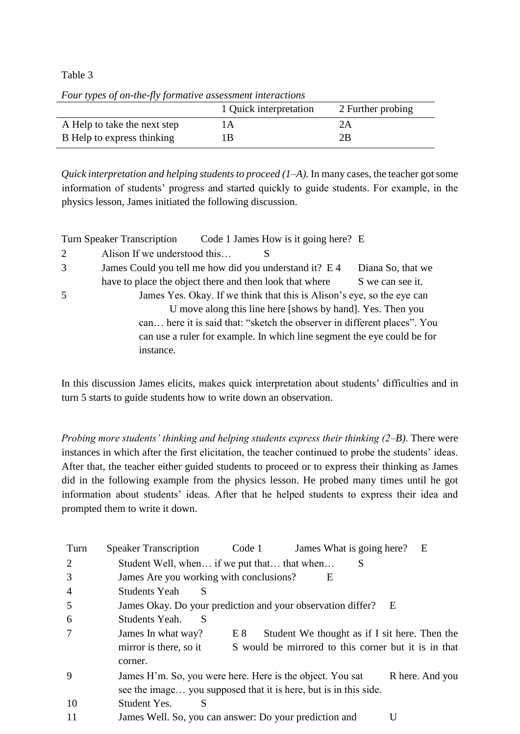#### Table 3

|                              | 1 Quick interpretation | 2 Further probing |
|------------------------------|------------------------|-------------------|
| A Help to take the next step | lΑ                     | 2Α                |
| B Help to express thinking   | lВ                     | 2B                |

*Quick interpretation and helping students to proceed*  $(1-A)$ *. In many cases, the teacher got some* information of students' progress and started quickly to guide students. For example, in the physics lesson, James initiated the following discussion.

Turn Speaker Transcription Code 1 James How is it going here? E 2 Alison If we understood this… S 3 James Could you tell me how did you understand it? E 4 Diana So, that we have to place the object there and then look that where S we can see it. 5 James Yes. Okay. If we think that this is Alison's eye, so the eye can U move along this line here [shows by hand]. Yes. Then you can… here it is said that: "sketch the observer in different places". You can use a ruler for example. In which line segment the eye could be for instance.

In this discussion James elicits, makes quick interpretation about students' difficulties and in turn 5 starts to guide students how to write down an observation.

*Probing more students' thinking and helping students express their thinking (2–B).* There were instances in which after the first elicitation, the teacher continued to probe the students' ideas. After that, the teacher either guided students to proceed or to express their thinking as James did in the following example from the physics lesson. He probed many times until he got information about students' ideas. After that he helped students to express their idea and prompted them to write it down.

| Turn | <b>Speaker Transcription</b>                                     | Code 1 | James What is going here?                            | E               |
|------|------------------------------------------------------------------|--------|------------------------------------------------------|-----------------|
| 2    | Student Well, when if we put that that when                      |        | S                                                    |                 |
| 3    | James Are you working with conclusions?                          |        | Е                                                    |                 |
| 4    | <b>Students Yeah</b><br>S                                        |        |                                                      |                 |
| 5    | James Okay. Do your prediction and your observation differ?      |        | E                                                    |                 |
| 6    | S<br>Students Yeah.                                              |        |                                                      |                 |
|      | James In what way?                                               | E 8    | Student We thought as if I sit here. Then the        |                 |
|      | mirror is there, so it                                           |        | S would be mirrored to this corner but it is in that |                 |
|      | corner.                                                          |        |                                                      |                 |
| 9    | James H'm. So, you were here. Here is the object. You sat        |        |                                                      | R here. And you |
|      | see the image you supposed that it is here, but is in this side. |        |                                                      |                 |
| 10   | S<br>Student Yes.                                                |        |                                                      |                 |
|      | James Well. So, you can answer: Do your prediction and           |        |                                                      |                 |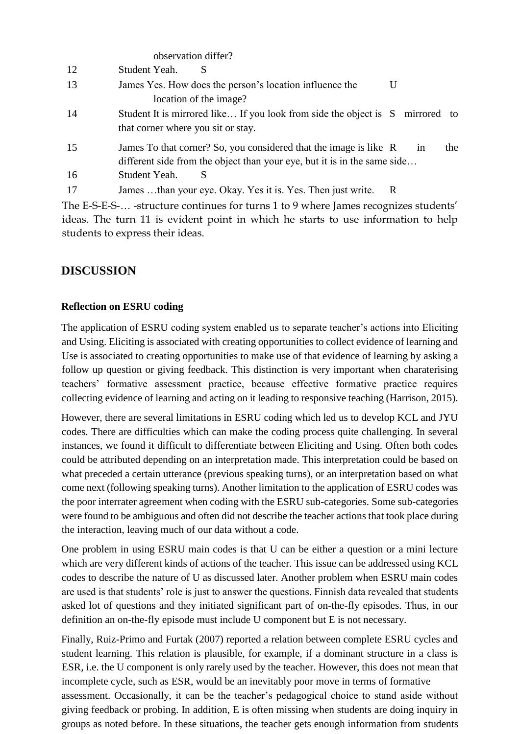|    | observation differ?                                                                                                                           |   |    |     |
|----|-----------------------------------------------------------------------------------------------------------------------------------------------|---|----|-----|
| 12 | Student Yeah.<br>S                                                                                                                            |   |    |     |
| 13 | James Yes. How does the person's location influence the<br>location of the image?                                                             | U |    |     |
| 14 | Student It is mirrored like If you look from side the object is S mirrored to<br>that corner where you sit or stay.                           |   |    |     |
| 15 | James To that corner? So, you considered that the image is like R<br>different side from the object than your eye, but it is in the same side |   | 1n | the |
| 16 | Student Yeah.                                                                                                                                 |   |    |     |
| 17 | James than your eye. Okay. Yes it is. Yes. Then just write.                                                                                   | R |    |     |

The E-S-E-S-… -structure continues for turns 1 to 9 where James recognizes students' ideas. The turn 11 is evident point in which he starts to use information to help students to express their ideas.

# **DISCUSSION**

#### **Reflection on ESRU coding**

The application of ESRU coding system enabled us to separate teacher's actions into Eliciting and Using. Eliciting is associated with creating opportunities to collect evidence of learning and Use is associated to creating opportunities to make use of that evidence of learning by asking a follow up question or giving feedback. This distinction is very important when charaterising teachers' formative assessment practice, because effective formative practice requires collecting evidence of learning and acting on it leading to responsive teaching (Harrison, 2015).

However, there are several limitations in ESRU coding which led us to develop KCL and JYU codes. There are difficulties which can make the coding process quite challenging. In several instances, we found it difficult to differentiate between Eliciting and Using. Often both codes could be attributed depending on an interpretation made. This interpretation could be based on what preceded a certain utterance (previous speaking turns), or an interpretation based on what come next (following speaking turns). Another limitation to the application of ESRU codes was the poor interrater agreement when coding with the ESRU sub-categories. Some sub-categories were found to be ambiguous and often did not describe the teacher actions that took place during the interaction, leaving much of our data without a code.

One problem in using ESRU main codes is that U can be either a question or a mini lecture which are very different kinds of actions of the teacher. This issue can be addressed using KCL codes to describe the nature of U as discussed later. Another problem when ESRU main codes are used is that students' role is just to answer the questions. Finnish data revealed that students asked lot of questions and they initiated significant part of on-the-fly episodes. Thus, in our definition an on-the-fly episode must include U component but E is not necessary.

Finally, Ruiz-Primo and Furtak (2007) reported a relation between complete ESRU cycles and student learning. This relation is plausible, for example, if a dominant structure in a class is ESR, i.e. the U component is only rarely used by the teacher. However, this does not mean that incomplete cycle, such as ESR, would be an inevitably poor move in terms of formative assessment. Occasionally, it can be the teacher's pedagogical choice to stand aside without giving feedback or probing. In addition, E is often missing when students are doing inquiry in groups as noted before. In these situations, the teacher gets enough information from students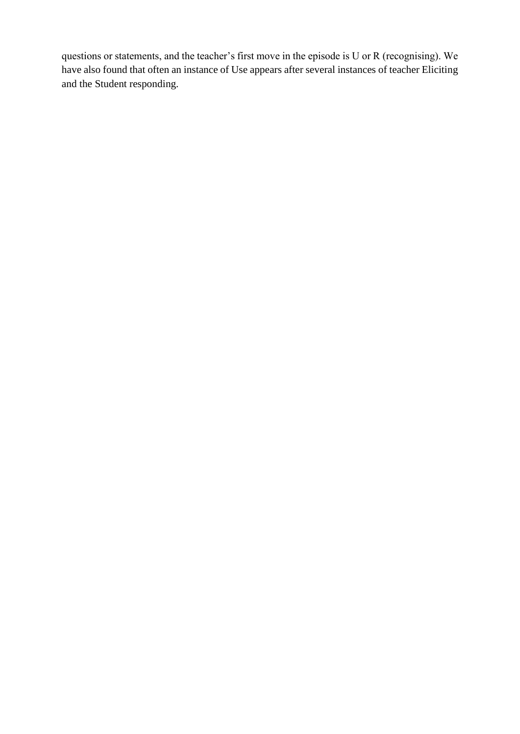questions or statements, and the teacher's first move in the episode is U or R (recognising). We have also found that often an instance of Use appears after several instances of teacher Eliciting and the Student responding.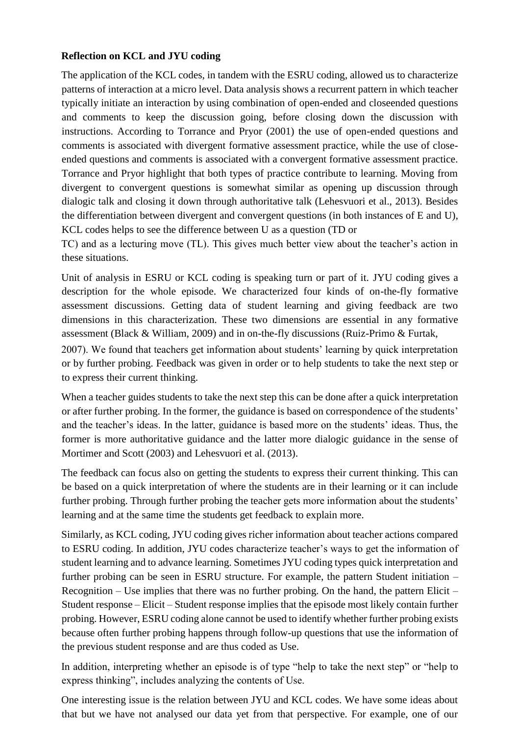#### **Reflection on KCL and JYU coding**

The application of the KCL codes, in tandem with the ESRU coding, allowed us to characterize patterns of interaction at a micro level. Data analysis shows a recurrent pattern in which teacher typically initiate an interaction by using combination of open-ended and closeended questions and comments to keep the discussion going, before closing down the discussion with instructions. According to Torrance and Pryor (2001) the use of open-ended questions and comments is associated with divergent formative assessment practice, while the use of closeended questions and comments is associated with a convergent formative assessment practice. Torrance and Pryor highlight that both types of practice contribute to learning. Moving from divergent to convergent questions is somewhat similar as opening up discussion through dialogic talk and closing it down through authoritative talk (Lehesvuori et al., 2013). Besides the differentiation between divergent and convergent questions (in both instances of E and U), KCL codes helps to see the difference between U as a question (TD or

TC) and as a lecturing move (TL). This gives much better view about the teacher's action in these situations.

Unit of analysis in ESRU or KCL coding is speaking turn or part of it. JYU coding gives a description for the whole episode. We characterized four kinds of on-the-fly formative assessment discussions. Getting data of student learning and giving feedback are two dimensions in this characterization. These two dimensions are essential in any formative assessment (Black & William, 2009) and in on-the-fly discussions (Ruiz-Primo & Furtak,

2007). We found that teachers get information about students' learning by quick interpretation or by further probing. Feedback was given in order or to help students to take the next step or to express their current thinking.

When a teacher guides students to take the next step this can be done after a quick interpretation or after further probing. In the former, the guidance is based on correspondence of the students' and the teacher's ideas. In the latter, guidance is based more on the students' ideas. Thus, the former is more authoritative guidance and the latter more dialogic guidance in the sense of Mortimer and Scott (2003) and Lehesvuori et al. (2013).

The feedback can focus also on getting the students to express their current thinking. This can be based on a quick interpretation of where the students are in their learning or it can include further probing. Through further probing the teacher gets more information about the students' learning and at the same time the students get feedback to explain more.

Similarly, as KCL coding, JYU coding gives richer information about teacher actions compared to ESRU coding. In addition, JYU codes characterize teacher's ways to get the information of student learning and to advance learning. Sometimes JYU coding types quick interpretation and further probing can be seen in ESRU structure. For example, the pattern Student initiation – Recognition – Use implies that there was no further probing. On the hand, the pattern Elicit – Student response – Elicit – Student response implies that the episode most likely contain further probing. However, ESRU coding alone cannot be used to identify whether further probing exists because often further probing happens through follow-up questions that use the information of the previous student response and are thus coded as Use.

In addition, interpreting whether an episode is of type "help to take the next step" or "help to express thinking", includes analyzing the contents of Use.

One interesting issue is the relation between JYU and KCL codes. We have some ideas about that but we have not analysed our data yet from that perspective. For example, one of our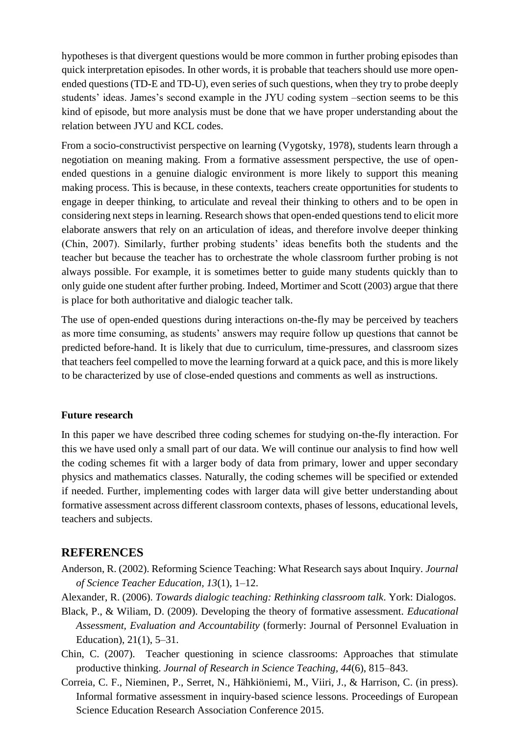hypotheses is that divergent questions would be more common in further probing episodes than quick interpretation episodes. In other words, it is probable that teachers should use more openended questions (TD-E and TD-U), even series of such questions, when they try to probe deeply students' ideas. James's second example in the JYU coding system –section seems to be this kind of episode, but more analysis must be done that we have proper understanding about the relation between JYU and KCL codes.

From a socio-constructivist perspective on learning (Vygotsky, 1978), students learn through a negotiation on meaning making. From a formative assessment perspective, the use of openended questions in a genuine dialogic environment is more likely to support this meaning making process. This is because, in these contexts, teachers create opportunities for students to engage in deeper thinking, to articulate and reveal their thinking to others and to be open in considering next steps in learning. Research shows that open-ended questions tend to elicit more elaborate answers that rely on an articulation of ideas, and therefore involve deeper thinking (Chin, 2007). Similarly, further probing students' ideas benefits both the students and the teacher but because the teacher has to orchestrate the whole classroom further probing is not always possible. For example, it is sometimes better to guide many students quickly than to only guide one student after further probing. Indeed, Mortimer and Scott (2003) argue that there is place for both authoritative and dialogic teacher talk.

The use of open-ended questions during interactions on-the-fly may be perceived by teachers as more time consuming, as students' answers may require follow up questions that cannot be predicted before-hand. It is likely that due to curriculum, time-pressures, and classroom sizes that teachers feel compelled to move the learning forward at a quick pace, and this is more likely to be characterized by use of close-ended questions and comments as well as instructions.

#### **Future research**

In this paper we have described three coding schemes for studying on-the-fly interaction. For this we have used only a small part of our data. We will continue our analysis to find how well the coding schemes fit with a larger body of data from primary, lower and upper secondary physics and mathematics classes. Naturally, the coding schemes will be specified or extended if needed. Further, implementing codes with larger data will give better understanding about formative assessment across different classroom contexts, phases of lessons, educational levels, teachers and subjects.

# **REFERENCES**

Anderson, R. (2002). Reforming Science Teaching: What Research says about Inquiry. *Journal of Science Teacher Education, 13*(1), 1–12.

Alexander, R. (2006). *Towards dialogic teaching: Rethinking classroom talk*. York: Dialogos.

- Black, P., & Wiliam, D. (2009). Developing the theory of formative assessment*. Educational Assessment, Evaluation and Accountability* (formerly: Journal of Personnel Evaluation in Education), 21(1), 5–31.
- Chin, C. (2007). Teacher questioning in science classrooms: Approaches that stimulate productive thinking. *Journal of Research in Science Teaching, 44*(6), 815–843.
- Correia, C. F., Nieminen, P., Serret, N., Hähkiöniemi, M., Viiri, J., & Harrison, C. (in press). Informal formative assessment in inquiry-based science lessons. Proceedings of European Science Education Research Association Conference 2015.